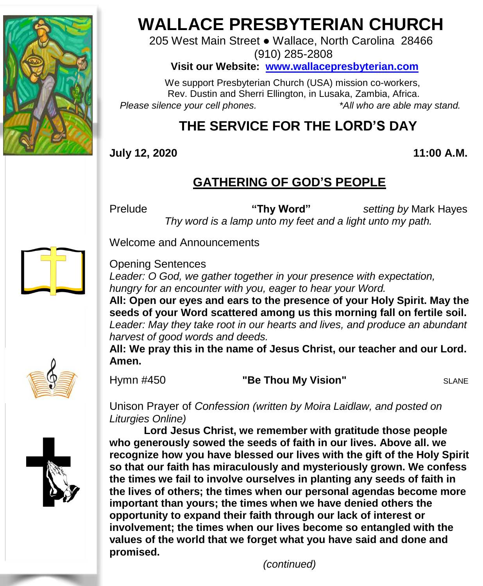

# **WALLACE PRESBYTERIAN CHURCH**

205 West Main Street ● Wallace, North Carolina 28466 (910) 285-2808

**Visit our Website: [www.wallacepresbyterian.com](http://www.wallacepresbyterian.com/)**

 We support Presbyterian Church (USA) mission co-workers, Rev. Dustin and Sherri Ellington, in Lusaka, Zambia, Africa. *Please silence your cell phones. \*All who are able may stand.*

## **THE SERVICE FOR THE LORD'S DAY**

**July 12, 2020 11:00 A.M.**

### **GATHERING OF GOD'S PEOPLE**

Prelude **"Thy Word"** *setting by* Mark Hayes  *Thy word is a lamp unto my feet and a light unto my path.*

Welcome and Announcements

Opening Sentences

*Leader: O God, we gather together in your presence with expectation, hungry for an encounter with you, eager to hear your Word.*

**All: Open our eyes and ears to the presence of your Holy Spirit. May the seeds of your Word scattered among us this morning fall on fertile soil.** *Leader: May they take root in our hearts and lives, and produce an abundant harvest of good words and deeds.*

**All: We pray this in the name of Jesus Christ, our teacher and our Lord. Amen.**



Hymn #450 **"Be Thou My Vision"** SLANE

Unison Prayer of *Confession (written by Moira Laidlaw, and posted on Liturgies Online)*

**Lord Jesus Christ, we remember with gratitude those people who generously sowed the seeds of faith in our lives. Above all. we recognize how you have blessed our lives with the gift of the Holy Spirit so that our faith has miraculously and mysteriously grown. We confess the times we fail to involve ourselves in planting any seeds of faith in the lives of others; the times when our personal agendas become more important than yours; the times when we have denied others the opportunity to expand their faith through our lack of interest or involvement; the times when our lives become so entangled with the values of the world that we forget what you have said and done and promised.** 

*(continued)*

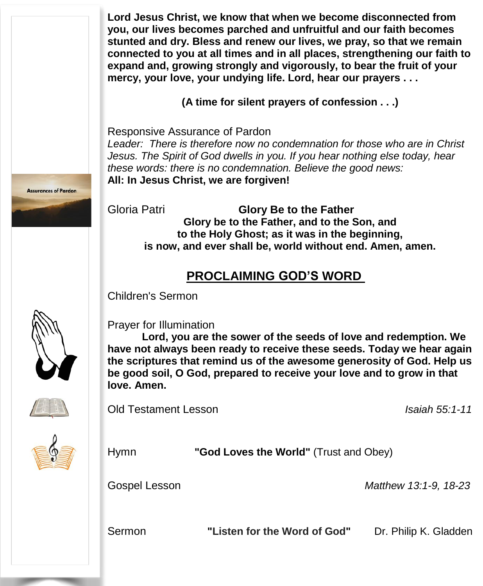**Lord Jesus Christ, we know that when we become disconnected from you, our lives becomes parched and unfruitful and our faith becomes stunted and dry. Bless and renew our lives, we pray, so that we remain connected to you at all times and in all places, strengthening our faith to expand and, growing strongly and vigorously, to bear the fruit of your mercy, your love, your undying life. Lord, hear our prayers . . .**

**(A time for silent prayers of confession . . .)**

Responsive Assurance of Pardon

*Leader: There is therefore now no condemnation for those who are in Christ Jesus. The Spirit of God dwells in you. If you hear nothing else today, hear these words: there is no condemnation. Believe the good news:* **All: In Jesus Christ, we are forgiven!**

Gloria Patri **Glory Be to the Father Glory be to the Father, and to the Son, and to the Holy Ghost; as it was in the beginning, is now, and ever shall be, world without end. Amen, amen.**

#### **PROCLAIMING GOD'S WORD**

Children's Sermon



Prayer for Illumination

**Lord, you are the sower of the seeds of love and redemption. We have not always been ready to receive these seeds. Today we hear again the scriptures that remind us of the awesome generosity of God. Help us be good soil, O God, prepared to receive your love and to grow in that love. Amen.**



Old Testament Lesson *Isaiah 55:1-11*

| <b>Hymn</b>          | "God Loves the World" (Trust and Obey) |                       |
|----------------------|----------------------------------------|-----------------------|
| <b>Gospel Lesson</b> |                                        | Matthew 13:1-9, 18-23 |
| Sermon               | "Listen for the Word of God"           | Dr. Philip K. Gladden |



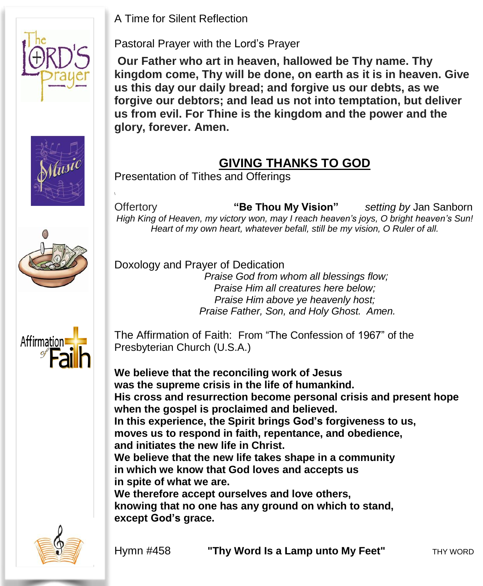A Time for Silent Reflection





 $\mathcal{L}_{\mathcal{A}}$ 

Pastoral Prayer with the Lord's Prayer

**Our Father who art in heaven, hallowed be Thy name. Thy kingdom come, Thy will be done, on earth as it is in heaven. Give us this day our daily bread; and forgive us our debts, as we forgive our debtors; and lead us not into temptation, but deliver us from evil. For Thine is the kingdom and the power and the glory, forever. Amen.**

#### **GIVING THANKS TO GOD**

Presentation of Tithes and Offerings

Offertory **"Be Thou My Vision"** *setting by* Jan Sanborn *High King of Heaven, my victory won, may I reach heaven's joys, O bright heaven's Sun! Heart of my own heart, whatever befall, still be my vision, O Ruler of all.*

Doxology and Prayer of Dedication

*Praise God from whom all blessings flow; Praise Him all creatures here below; Praise Him above ye heavenly host; Praise Father, Son, and Holy Ghost. Amen.*



The Affirmation of Faith: From "The Confession of 1967" of the Presbyterian Church (U.S.A.)

 **We believe that the new life takes shape in a community We believe that the reconciling work of Jesus was the supreme crisis in the life of humankind. His cross and resurrection become personal crisis and present hope when the gospel is proclaimed and believed. In this experience, the Spirit brings God's forgiveness to us, moves us to respond in faith, repentance, and obedience, and initiates the new life in Christ. in which we know that God loves and accepts us in spite of what we are. We therefore accept ourselves and love others, knowing that no one has any ground on which to stand, except God's grace.**



Hymn #458 **"Thy Word Is a Lamp unto My Feet"** THY WORD